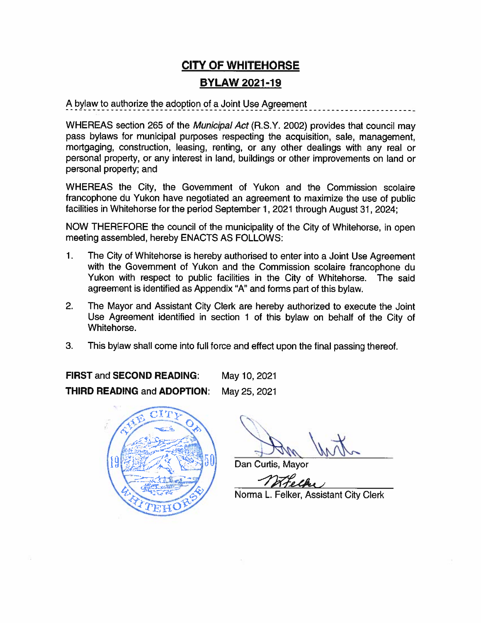# **CITY OF WHITEHORSE BYLAW 2021-19**

A bylaw to authorize the adoption of a Joint Use Agreement

WHEREAS section 265 of the Municipal Act (R.S.Y. 2002) provides that council may pass bylaws for municipal purposes respecting the acquisition, sale, management, mortgaging, construction, leasing, renting, or any other dealings with any real or personal property, or any interest in land, buildings or other improvements on land or personal property; and

WHEREAS the City, the Government of Yukon and the Commission scolaire francophone du Yukon have negotiated an agreement to maximize the use of public facilities in Whitehorse for the period September 1, 2021 through August 31, 2024;

NOW THEREFORE the council of the municipality of the City of Whitehorse, in open meeting assembled, hereby ENACTS AS FOLLOWS:

- $\mathbf{1}$ . The City of Whitehorse is hereby authorised to enter into a Joint Use Agreement with the Government of Yukon and the Commission scolaire francophone du Yukon with respect to public facilities in the City of Whitehorse. The said agreement is identified as Appendix "A" and forms part of this bylaw.
- $2.$ The Mayor and Assistant City Clerk are hereby authorized to execute the Joint Use Agreement identified in section 1 of this bylaw on behalf of the City of Whitehorse.
- 3. This bylaw shall come into full force and effect upon the final passing thereof.

FIRST and SECOND READING: May 10, 2021 **THIRD READING and ADOPTION:** May 25, 2021



Dan Curtis, Mayor

Norma L. Felker, Assistant City Clerk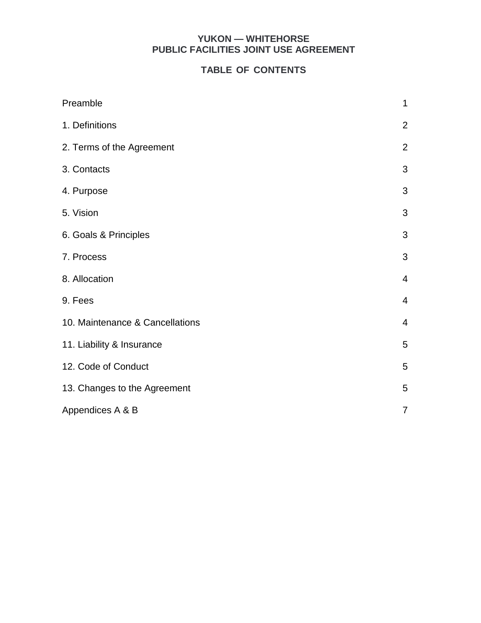# **YUKON — WHITEHORSE PUBLIC FACILITIES JOINT USE AGREEMENT**

# **TABLE OF CONTENTS**

| Preamble                        | 1              |
|---------------------------------|----------------|
| 1. Definitions                  | $\overline{2}$ |
| 2. Terms of the Agreement       | $\overline{2}$ |
| 3. Contacts                     | 3              |
| 4. Purpose                      | 3              |
| 5. Vision                       | 3              |
| 6. Goals & Principles           | 3              |
| 7. Process                      | 3              |
| 8. Allocation                   | $\overline{4}$ |
| 9. Fees                         | $\overline{4}$ |
| 10. Maintenance & Cancellations | $\overline{4}$ |
| 11. Liability & Insurance       | 5              |
| 12. Code of Conduct             | 5              |
| 13. Changes to the Agreement    | 5              |
| Appendices A & B                | $\overline{7}$ |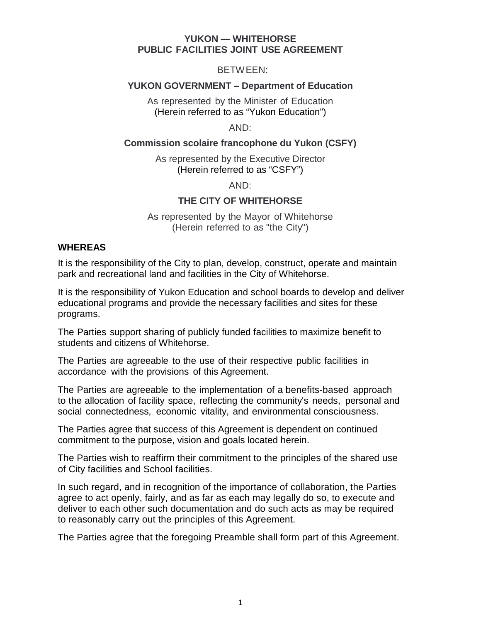#### **YUKON — WHITEHORSE PUBLIC FACILITIES JOINT USE AGREEMENT**

BETWEEN:

# **YUKON GOVERNMENT – Department of Education**

As represented by the Minister of Education (Herein referred to as "Yukon Education")

AND:

#### **Commission scolaire francophone du Yukon (CSFY)**

As represented by the Executive Director (Herein referred to as "CSFY")

AND:

# **THE CITY OF WHITEHORSE**

As represented by the Mayor of Whitehorse (Herein referred to as "the City")

### **WHEREAS**

It is the responsibility of the City to plan, develop, construct, operate and maintain park and recreational land and facilities in the City of Whitehorse.

It is the responsibility of Yukon Education and school boards to develop and deliver educational programs and provide the necessary facilities and sites for these programs.

The Parties support sharing of publicly funded facilities to maximize benefit to students and citizens of Whitehorse.

The Parties are agreeable to the use of their respective public facilities in accordance with the provisions of this Agreement.

The Parties are agreeable to the implementation of a benefits-based approach to the allocation of facility space, reflecting the community's needs, personal and social connectedness, economic vitality, and environmental consciousness.

The Parties agree that success of this Agreement is dependent on continued commitment to the purpose, vision and goals located herein.

The Parties wish to reaffirm their commitment to the principles of the shared use of City facilities and School facilities.

In such regard, and in recognition of the importance of collaboration, the Parties agree to act openly, fairly, and as far as each may legally do so, to execute and deliver to each other such documentation and do such acts as may be required to reasonably carry out the principles of this Agreement.

The Parties agree that the foregoing Preamble shall form part of this Agreement.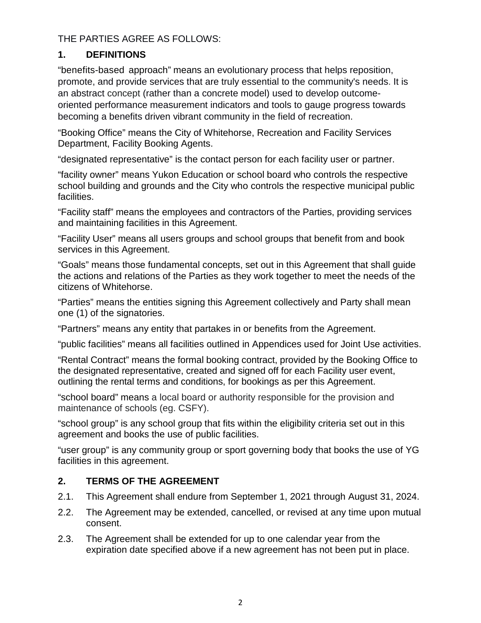THE PARTIES AGREE AS FOLLOWS:

# **1. DEFINITIONS**

"benefits-based approach" means an evolutionary process that helps reposition, promote, and provide services that are truly essential to the community's needs. It is an abstract concept (rather than a concrete model) used to develop outcomeoriented performance measurement indicators and tools to gauge progress towards becoming a benefits driven vibrant community in the field of recreation.

"Booking Office" means the City of Whitehorse, Recreation and Facility Services Department, Facility Booking Agents.

"designated representative" is the contact person for each facility user or partner.

"facility owner" means Yukon Education or school board who controls the respective school building and grounds and the City who controls the respective municipal public facilities.

"Facility staff" means the employees and contractors of the Parties, providing services and maintaining facilities in this Agreement.

"Facility User" means all users groups and school groups that benefit from and book services in this Agreement.

"Goals" means those fundamental concepts, set out in this Agreement that shall guide the actions and relations of the Parties as they work together to meet the needs of the citizens of Whitehorse.

"Parties" means the entities signing this Agreement collectively and Party shall mean one (1) of the signatories.

"Partners" means any entity that partakes in or benefits from the Agreement.

"public facilities" means all facilities outlined in Appendices used for Joint Use activities.

"Rental Contract" means the formal booking contract, provided by the Booking Office to the designated representative, created and signed off for each Facility user event, outlining the rental terms and conditions, for bookings as per this Agreement.

"school board" means a local board or authority responsible for the provision and maintenance of schools (eg. CSFY).

"school group" is any school group that fits within the eligibility criteria set out in this agreement and books the use of public facilities.

"user group" is any community group or sport governing body that books the use of YG facilities in this agreement.

# **2. TERMS OF THE AGREEMENT**

- 2.1. This Agreement shall endure from September 1, 2021 through August 31, 2024.
- 2.2. The Agreement may be extended, cancelled, or revised at any time upon mutual consent.
- 2.3. The Agreement shall be extended for up to one calendar year from the expiration date specified above if a new agreement has not been put in place.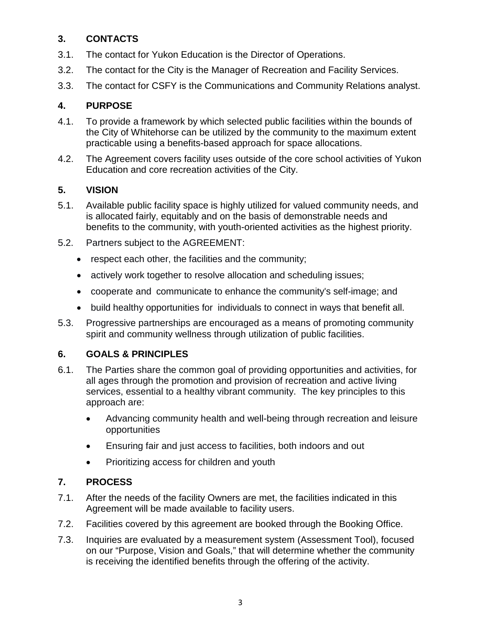# **3. CONTACTS**

- 3.1. The contact for Yukon Education is the Director of Operations.
- 3.2. The contact for the City is the Manager of Recreation and Facility Services.
- 3.3. The contact for CSFY is the Communications and Community Relations analyst.

# **4. PURPOSE**

- 4.1. To provide a framework by which selected public facilities within the bounds of the City of Whitehorse can be utilized by the community to the maximum extent practicable using a benefits-based approach for space allocations.
- 4.2. The Agreement covers facility uses outside of the core school activities of Yukon Education and core recreation activities of the City.

# **5. VISION**

- 5.1. Available public facility space is highly utilized for valued community needs, and is allocated fairly, equitably and on the basis of demonstrable needs and benefits to the community, with youth-oriented activities as the highest priority.
- 5.2. Partners subject to the AGREEMENT:
	- respect each other, the facilities and the community;
	- actively work together to resolve allocation and scheduling issues;
	- cooperate and communicate to enhance the community's self-image; and
	- build healthy opportunities for individuals to connect in ways that benefit all.
- 5.3. Progressive partnerships are encouraged as a means of promoting community spirit and community wellness through utilization of public facilities.

# **6. GOALS & PRINCIPLES**

- 6.1. The Parties share the common goal of providing opportunities and activities, for all ages through the promotion and provision of recreation and active living services, essential to a healthy vibrant community. The key principles to this approach are:
	- Advancing community health and well-being through recreation and leisure opportunities
	- Ensuring fair and just access to facilities, both indoors and out
	- Prioritizing access for children and youth

# **7. PROCESS**

- 7.1. After the needs of the facility Owners are met, the facilities indicated in this Agreement will be made available to facility users.
- 7.2. Facilities covered by this agreement are booked through the Booking Office.
- 7.3. Inquiries are evaluated by a measurement system (Assessment Tool), focused on our "Purpose, Vision and Goals," that will determine whether the community is receiving the identified benefits through the offering of the activity.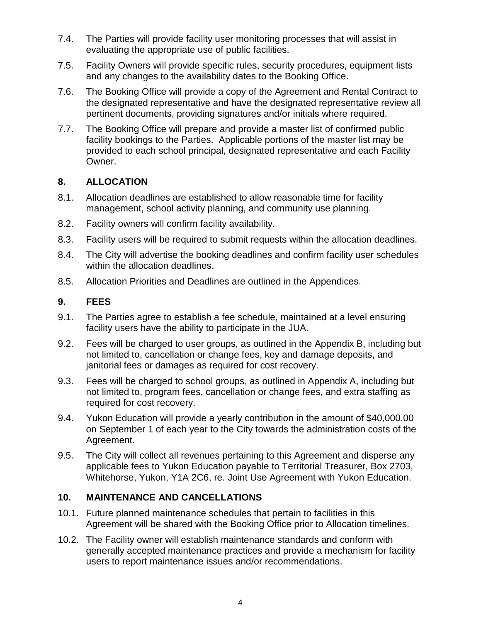- 7.4. The Parties will provide facility user monitoring processes that will assist in evaluating the appropriate use of public facilities.
- 7.5. Facility Owners will provide specific rules, security procedures, equipment lists and any changes to the availability dates to the Booking Office.
- 7.6. The Booking Office will provide a copy of the Agreement and Rental Contract to the designated representative and have the designated representative review all pertinent documents, providing signatures and/or initials where required.
- 7.7. The Booking Office will prepare and provide a master list of confirmed public facility bookings to the Parties. Applicable portions of the master list may be provided to each school principal, designated representative and each Facility Owner.

# **8. ALLOCATION**

- 8.1. Allocation deadlines are established to allow reasonable time for facility management, school activity planning, and community use planning.
- 8.2. Facility owners will confirm facility availability.
- 8.3. Facility users will be required to submit requests within the allocation deadlines.
- 8.4. The City will advertise the booking deadlines and confirm facility user schedules within the allocation deadlines.
- 8.5. Allocation Priorities and Deadlines are outlined in the Appendices.

# **9. FEES**

- 9.1. The Parties agree to establish a fee schedule, maintained at a level ensuring facility users have the ability to participate in the JUA.
- 9.2. Fees will be charged to user groups, as outlined in the Appendix B, including but not limited to, cancellation or change fees, key and damage deposits, and janitorial fees or damages as required for cost recovery.
- 9.3. Fees will be charged to school groups, as outlined in Appendix A, including but not limited to, program fees, cancellation or change fees, and extra staffing as required for cost recovery.
- 9.4. Yukon Education will provide a yearly contribution in the amount of \$40,000.00 on September 1 of each year to the City towards the administration costs of the Agreement.
- 9.5. The City will collect all revenues pertaining to this Agreement and disperse any applicable fees to Yukon Education payable to Territorial Treasurer, Box 2703, Whitehorse, Yukon, Y1A 2C6, re. Joint Use Agreement with Yukon Education.

# **10. MAINTENANCE AND CANCELLATIONS**

- 10.1. Future planned maintenance schedules that pertain to facilities in this Agreement will be shared with the Booking Office prior to Allocation timelines.
- 10.2. The Facility owner will establish maintenance standards and conform with generally accepted maintenance practices and provide a mechanism for facility users to report maintenance issues and/or recommendations.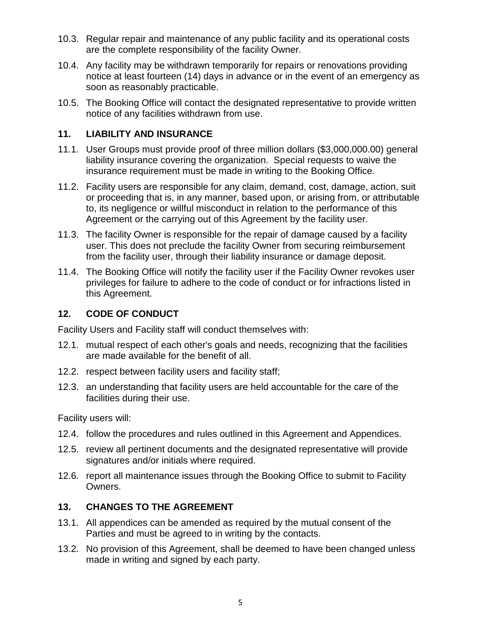- 10.3. Regular repair and maintenance of any public facility and its operational costs are the complete responsibility of the facility Owner.
- 10.4. Any facility may be withdrawn temporarily for repairs or renovations providing notice at least fourteen (14) days in advance or in the event of an emergency as soon as reasonably practicable.
- 10.5. The Booking Office will contact the designated representative to provide written notice of any facilities withdrawn from use.

# **11. LIABILITY AND INSURANCE**

- 11.1. User Groups must provide proof of three million dollars (\$3,000,000.00) general liability insurance covering the organization. Special requests to waive the insurance requirement must be made in writing to the Booking Office.
- 11.2. Facility users are responsible for any claim, demand, cost, damage, action, suit or proceeding that is, in any manner, based upon, or arising from, or attributable to, its negligence or willful misconduct in relation to the performance of this Agreement or the carrying out of this Agreement by the facility user.
- 11.3. The facility Owner is responsible for the repair of damage caused by a facility user. This does not preclude the facility Owner from securing reimbursement from the facility user, through their liability insurance or damage deposit.
- 11.4. The Booking Office will notify the facility user if the Facility Owner revokes user privileges for failure to adhere to the code of conduct or for infractions listed in this Agreement.

# **12. CODE OF CONDUCT**

Facility Users and Facility staff will conduct themselves with:

- 12.1. mutual respect of each other's goals and needs, recognizing that the facilities are made available for the benefit of all.
- 12.2. respect between facility users and facility staff;
- 12.3. an understanding that facility users are held accountable for the care of the facilities during their use.

Facility users will:

- 12.4. follow the procedures and rules outlined in this Agreement and Appendices.
- 12.5. review all pertinent documents and the designated representative will provide signatures and/or initials where required.
- 12.6. report all maintenance issues through the Booking Office to submit to Facility Owners.

# **13. CHANGES TO THE AGREEMENT**

- 13.1. All appendices can be amended as required by the mutual consent of the Parties and must be agreed to in writing by the contacts.
- 13.2. No provision of this Agreement, shall be deemed to have been changed unless made in writing and signed by each party.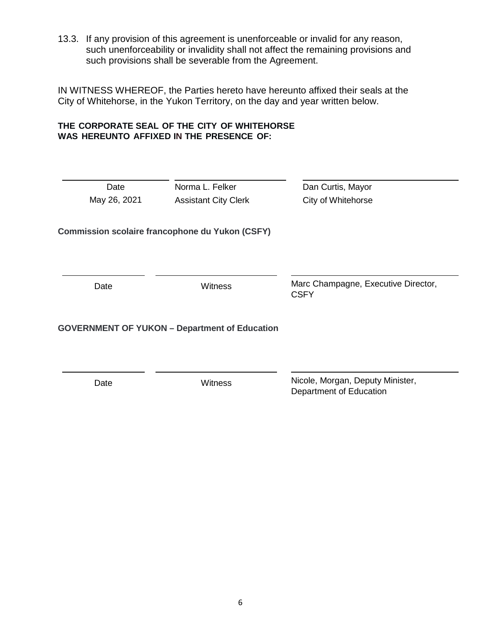13.3. If any provision of this agreement is unenforceable or invalid for any reason, such unenforceability or invalidity shall not affect the remaining provisions and such provisions shall be severable from the Agreement.

IN WITNESS WHEREOF, the Parties hereto have hereunto affixed their seals at the City of Whitehorse, in the Yukon Territory, on the day and year written below.

# **THE CORPORATE SEAL OF THE CITY OF WHITEHORSE WAS HEREUNTO AFFIXED IN THE PRESENCE OF:**

| Date                                        | Norma L. Felker                                        | Dan Curtis, Mayor                                           |  |
|---------------------------------------------|--------------------------------------------------------|-------------------------------------------------------------|--|
| May 26, 2021<br><b>Assistant City Clerk</b> |                                                        | City of Whitehorse                                          |  |
|                                             | <b>Commission scolaire francophone du Yukon (CSFY)</b> |                                                             |  |
| Date                                        | Witness                                                | Marc Champagne, Executive Director,<br><b>CSFY</b>          |  |
|                                             | <b>GOVERNMENT OF YUKON - Department of Education</b>   |                                                             |  |
|                                             |                                                        |                                                             |  |
| Date                                        | <b>Witness</b>                                         | Nicole, Morgan, Deputy Minister,<br>Department of Education |  |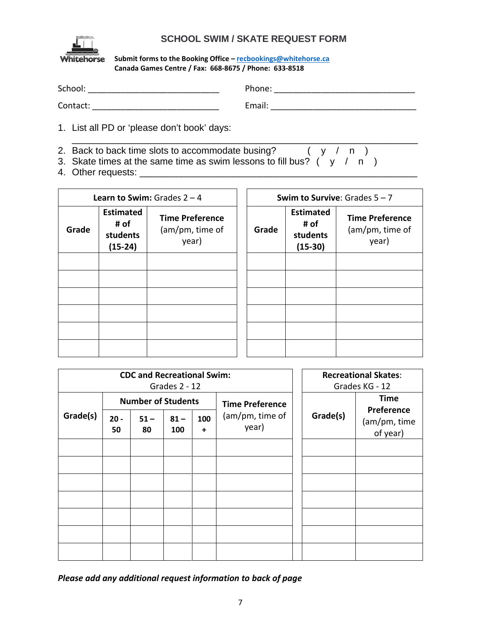

# **SCHOOL SWIM / SKATE REQUEST FORM**

#### **Submit forms to the Booking Office – [recbookings@whitehorse.ca](mailto:recbookings@whitehorse.ca) Canada Games Centre / Fax: 668-8675 / Phone: 633-8518**

| School:  | Phone: |
|----------|--------|
| Contact: | Email: |

1. List all PD or 'please don't book' days:

- \_\_\_\_\_\_\_\_\_\_\_\_\_\_\_\_\_\_\_\_\_\_\_\_\_\_\_\_\_\_\_\_\_\_\_\_\_\_\_\_\_\_\_\_\_\_\_\_\_\_\_\_\_\_\_\_\_\_\_\_\_\_\_\_\_\_ 2. Back to back time slots to accommodate busing?  $(y / n)$
- 3. Skate times at the same time as swim lessons to fill bus?  $(y / n)$
- 4. Other requests: \_\_\_\_\_\_\_\_\_\_\_\_\_\_\_\_\_\_\_\_\_\_\_\_\_\_\_\_\_\_\_\_\_\_\_\_\_\_\_\_\_\_\_\_\_\_\_\_\_\_\_\_\_

|       |                                                   | <b>Learn to Swim:</b> Grades $2 - 4$               | Swim to Survive: Grades $5 - 7$ |       |                                                   |                                                    |
|-------|---------------------------------------------------|----------------------------------------------------|---------------------------------|-------|---------------------------------------------------|----------------------------------------------------|
| Grade | <b>Estimated</b><br># of<br>students<br>$(15-24)$ | <b>Time Preference</b><br>(am/pm, time of<br>year) |                                 | Grade | <b>Estimated</b><br># of<br>students<br>$(15-30)$ | <b>Time Preference</b><br>(am/pm, time of<br>year) |
|       |                                                   |                                                    |                                 |       |                                                   |                                                    |
|       |                                                   |                                                    |                                 |       |                                                   |                                                    |
|       |                                                   |                                                    |                                 |       |                                                   |                                                    |
|       |                                                   |                                                    |                                 |       |                                                   |                                                    |
|       |                                                   |                                                    |                                 |       |                                                   |                                                    |
|       |                                                   |                                                    |                                 |       |                                                   |                                                    |

| <b>CDC and Recreational Swim:</b><br>Grades 2 - 12 |                           |              |               |                  |                          | <b>Recreational Skates:</b><br>Grades KG - 12 |                                        |
|----------------------------------------------------|---------------------------|--------------|---------------|------------------|--------------------------|-----------------------------------------------|----------------------------------------|
|                                                    | <b>Number of Students</b> |              |               |                  | <b>Time Preference</b>   |                                               | <b>Time</b>                            |
| Grade(s)                                           | $20 -$<br>50              | $51 -$<br>80 | $81 -$<br>100 | 100<br>$\ddot{}$ | (am/pm, time of<br>year) | Grade(s)                                      | Preference<br>(am/pm, time<br>of year) |
|                                                    |                           |              |               |                  |                          |                                               |                                        |
|                                                    |                           |              |               |                  |                          |                                               |                                        |
|                                                    |                           |              |               |                  |                          |                                               |                                        |
|                                                    |                           |              |               |                  |                          |                                               |                                        |
|                                                    |                           |              |               |                  |                          |                                               |                                        |
|                                                    |                           |              |               |                  |                          |                                               |                                        |
|                                                    |                           |              |               |                  |                          |                                               |                                        |

*Please add any additional request information to back of page*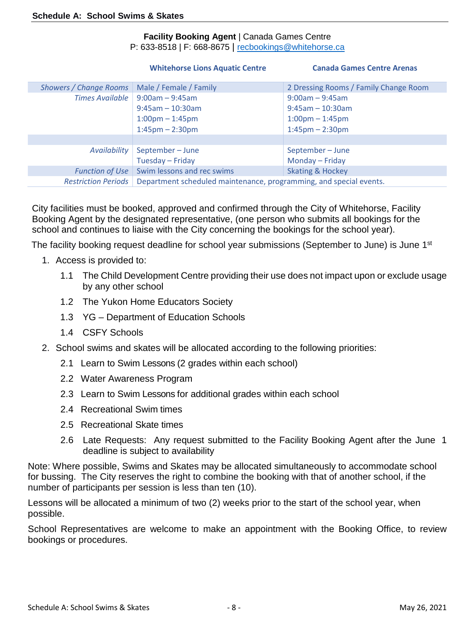# **Facility Booking Agent** | Canada Games Centre

P: 633-8518 | F: 668-8675 | [recbookings@whitehorse.ca](mailto:recbookings@whitehorse.ca)

|                               | <b>Whitehorse Lions Aquatic Centre</b>                             | <b>Canada Games Centre Arenas</b>     |
|-------------------------------|--------------------------------------------------------------------|---------------------------------------|
| <b>Showers / Change Rooms</b> | Male / Female / Family                                             | 2 Dressing Rooms / Family Change Room |
| <b>Times Available</b>        | $9:00am - 9:45am$                                                  | $9:00am - 9:45am$                     |
|                               | $9:45$ am - 10:30am                                                | $9:45$ am - 10:30am                   |
|                               | $1:00 \text{pm} - 1:45 \text{pm}$                                  | $1:00 \text{pm} - 1:45 \text{pm}$     |
|                               | $1:45$ pm – 2:30pm                                                 | $1:45$ pm $- 2:30$ pm                 |
|                               |                                                                    |                                       |
| Availability                  | September-June                                                     | September-June                        |
|                               | Tuesday - Friday                                                   | Monday - Friday                       |
| <b>Function of Use</b>        | Swim lessons and rec swims                                         | <b>Skating &amp; Hockey</b>           |
| <b>Restriction Periods</b>    | Department scheduled maintenance, programming, and special events. |                                       |

City facilities must be booked, approved and confirmed through the City of Whitehorse, Facility Booking Agent by the designated representative, (one person who submits all bookings for the school and continues to liaise with the City concerning the bookings for the school year).

The facility booking request deadline for school year submissions (September to June) is June 1<sup>st</sup>

- 1. Access is provided to:
	- 1.1 The Child Development Centre providing their use does not impact upon or exclude usage by any other school
	- 1.2 The Yukon Home Educators Society
	- 1.3 YG Department of Education Schools
	- 1.4 CSFY Schools
- 2. School swims and skates will be allocated according to the following priorities:
	- 2.1 Learn to Swim Lessons (2 grades within each school)
	- 2.2 Water Awareness Program
	- 2.3 Learn to Swim Lessons for additional grades within each school
	- 2.4 Recreational Swim times
	- 2.5 Recreational Skate times
	- 2.6 Late Requests: Any request submitted to the Facility Booking Agent after the June 1 deadline is subject to availability

Note: Where possible, Swims and Skates may be allocated simultaneously to accommodate school for bussing. The City reserves the right to combine the booking with that of another school, if the number of participants per session is less than ten (10).

Lessons will be allocated a minimum of two (2) weeks prior to the start of the school year, when possible.

School Representatives are welcome to make an appointment with the Booking Office, to review bookings or procedures.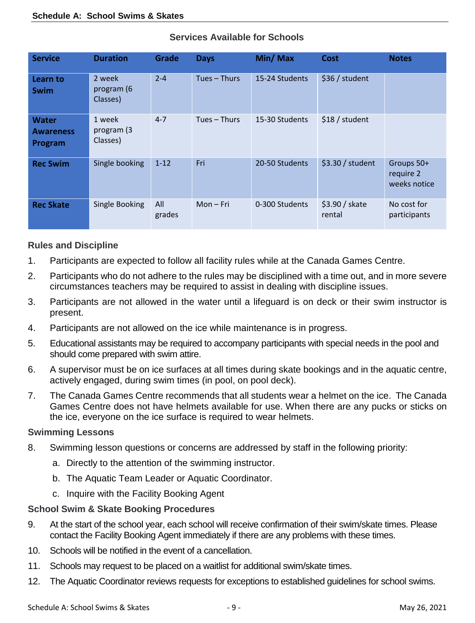| <b>Service</b>                              | <b>Duration</b>                  | <b>Grade</b>  | <b>Days</b>    | Min/Max        | <b>Cost</b>              | <b>Notes</b>                            |
|---------------------------------------------|----------------------------------|---------------|----------------|----------------|--------------------------|-----------------------------------------|
| Learn to<br>Swim                            | 2 week<br>program (6<br>Classes) | $2 - 4$       | $Tues - Thus$  | 15-24 Students | \$36 / student           |                                         |
| <b>Water</b><br><b>Awareness</b><br>Program | 1 week<br>program (3<br>Classes) | $4 - 7$       | Tues $-$ Thurs | 15-30 Students | \$18 / student           |                                         |
| <b>Rec Swim</b>                             | Single booking                   | $1 - 12$      | Fri            | 20-50 Students | \$3.30 / student         | Groups 50+<br>require 2<br>weeks notice |
| <b>Rec Skate</b>                            | Single Booking                   | All<br>grades | $Mon-Fri$      | 0-300 Students | \$3.90 / skate<br>rental | No cost for<br>participants             |

# **Services Available for Schools**

# **Rules and Discipline**

- 1. Participants are expected to follow all facility rules while at the Canada Games Centre.
- 2. Participants who do not adhere to the rules may be disciplined with a time out, and in more severe circumstances teachers may be required to assist in dealing with discipline issues.
- 3. Participants are not allowed in the water until a lifeguard is on deck or their swim instructor is present.
- 4. Participants are not allowed on the ice while maintenance is in progress.
- 5. Educational assistants may be required to accompany participants with special needs in the pool and should come prepared with swim attire.
- 6. A supervisor must be on ice surfaces at all times during skate bookings and in the aquatic centre, actively engaged, during swim times (in pool, on pool deck).
- 7. The Canada Games Centre recommends that all students wear a helmet on the ice. The Canada Games Centre does not have helmets available for use. When there are any pucks or sticks on the ice, everyone on the ice surface is required to wear helmets.

# **Swimming Lessons**

- 8. Swimming lesson questions or concerns are addressed by staff in the following priority:
	- a. Directly to the attention of the swimming instructor.
	- b. The Aquatic Team Leader or Aquatic Coordinator.
	- c. Inquire with the Facility Booking Agent

# **School Swim & Skate Booking Procedures**

- 9. At the start of the school year, each school will receive confirmation of their swim/skate times. Please contact the Facility Booking Agent immediately if there are any problems with these times.
- 10. Schools will be notified in the event of a cancellation.
- 11. Schools may request to be placed on a waitlist for additional swim/skate times.
- 12. The Aquatic Coordinator reviews requests for exceptions to established guidelines for school swims.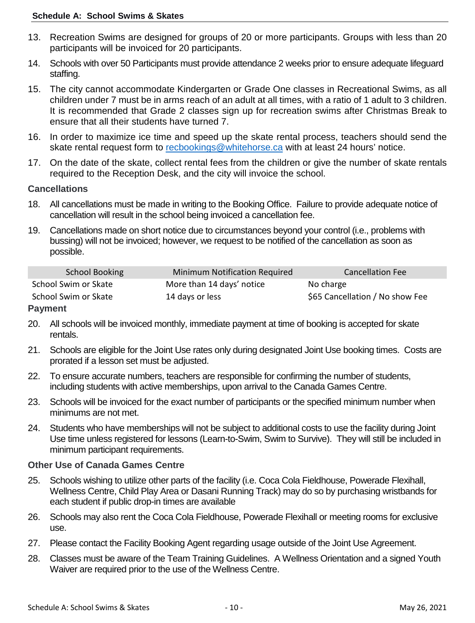- 13. Recreation Swims are designed for groups of 20 or more participants. Groups with less than 20 participants will be invoiced for 20 participants.
- 14. Schools with over 50 Participants must provide attendance 2 weeks prior to ensure adequate lifeguard staffing.
- 15. The city cannot accommodate Kindergarten or Grade One classes in Recreational Swims, as all children under 7 must be in arms reach of an adult at all times, with a ratio of 1 adult to 3 children. It is recommended that Grade 2 classes sign up for recreation swims after Christmas Break to ensure that all their students have turned 7.
- 16. In order to maximize ice time and speed up the skate rental process, teachers should send the skate rental request form to [recbookings@whitehorse.ca](mailto:recbookings@whitehorse.ca) with at least 24 hours' notice.
- 17. On the date of the skate, collect rental fees from the children or give the number of skate rentals required to the Reception Desk, and the city will invoice the school.

# **Cancellations**

- 18. All cancellations must be made in writing to the Booking Office. Failure to provide adequate notice of cancellation will result in the school being invoiced a cancellation fee.
- 19. Cancellations made on short notice due to circumstances beyond your control (i.e., problems with bussing) will not be invoiced; however, we request to be notified of the cancellation as soon as possible.

| School Booking       | Minimum Notification Required | <b>Cancellation Fee</b>         |
|----------------------|-------------------------------|---------------------------------|
| School Swim or Skate | More than 14 days' notice     | No charge                       |
| School Swim or Skate | 14 days or less               | \$65 Cancellation / No show Fee |

# **Payment**

- 20. All schools will be invoiced monthly, immediate payment at time of booking is accepted for skate rentals.
- 21. Schools are eligible for the Joint Use rates only during designated Joint Use booking times. Costs are prorated if a lesson set must be adjusted.
- 22. To ensure accurate numbers, teachers are responsible for confirming the number of students, including students with active memberships, upon arrival to the Canada Games Centre.
- 23. Schools will be invoiced for the exact number of participants or the specified minimum number when minimums are not met.
- 24. Students who have memberships will not be subject to additional costs to use the facility during Joint Use time unless registered for lessons (Learn-to-Swim, Swim to Survive). They will still be included in minimum participant requirements.

# **Other Use of Canada Games Centre**

- 25. Schools wishing to utilize other parts of the facility (i.e. Coca Cola Fieldhouse, Powerade Flexihall, Wellness Centre, Child Play Area or Dasani Running Track) may do so by purchasing wristbands for each student if public drop-in times are available
- 26. Schools may also rent the Coca Cola Fieldhouse, Powerade Flexihall or meeting rooms for exclusive use.
- 27. Please contact the Facility Booking Agent regarding usage outside of the Joint Use Agreement.
- 28. Classes must be aware of the Team Training Guidelines. A Wellness Orientation and a signed Youth Waiver are required prior to the use of the Wellness Centre.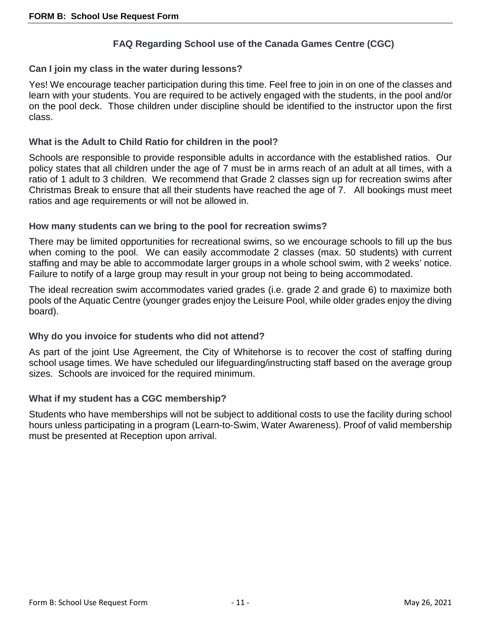# **FAQ Regarding School use of the Canada Games Centre (CGC)**

### **Can I join my class in the water during lessons?**

Yes! We encourage teacher participation during this time. Feel free to join in on one of the classes and learn with your students. You are required to be actively engaged with the students, in the pool and/or on the pool deck. Those children under discipline should be identified to the instructor upon the first class.

#### **What is the Adult to Child Ratio for children in the pool?**

Schools are responsible to provide responsible adults in accordance with the established ratios. Our policy states that all children under the age of 7 must be in arms reach of an adult at all times, with a ratio of 1 adult to 3 children. We recommend that Grade 2 classes sign up for recreation swims after Christmas Break to ensure that all their students have reached the age of 7. All bookings must meet ratios and age requirements or will not be allowed in.

#### **How many students can we bring to the pool for recreation swims?**

There may be limited opportunities for recreational swims, so we encourage schools to fill up the bus when coming to the pool. We can easily accommodate 2 classes (max. 50 students) with current staffing and may be able to accommodate larger groups in a whole school swim, with 2 weeks' notice. Failure to notify of a large group may result in your group not being to being accommodated.

The ideal recreation swim accommodates varied grades (i.e. grade 2 and grade 6) to maximize both pools of the Aquatic Centre (younger grades enjoy the Leisure Pool, while older grades enjoy the diving board).

# **Why do you invoice for students who did not attend?**

As part of the joint Use Agreement, the City of Whitehorse is to recover the cost of staffing during school usage times. We have scheduled our lifeguarding/instructing staff based on the average group sizes. Schools are invoiced for the required minimum.

# **What if my student has a CGC membership?**

Students who have memberships will not be subject to additional costs to use the facility during school hours unless participating in a program (Learn-to-Swim, Water Awareness). Proof of valid membership must be presented at Reception upon arrival.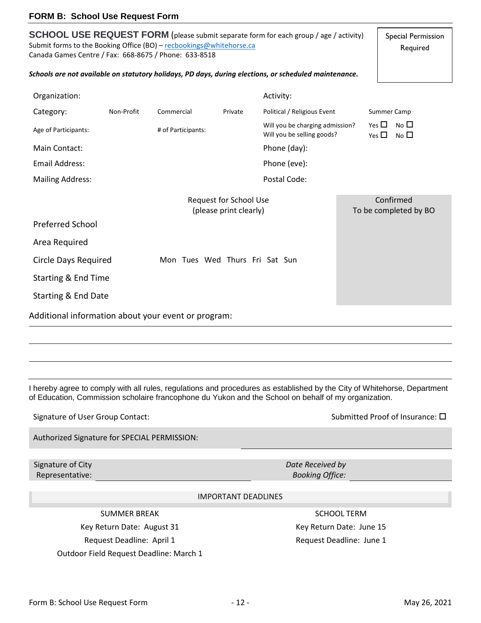Form B: School Use Request Form  $-12$  - 12 - May 26, 2021

# **FORM B: School Use Request Form**

Submit forms to the Booking Office (BO) - [recbookings@whitehorse.ca](mailto:recbookings@whitehorse.ca) Canada Games Centre / Fax: 668-8675 / Phone: 633-8518 *Schools are not available on statutory holidays, PD days, during elections, or scheduled maintenance.* Organization: Activity: Activity: Activity: Activity: Activity: Activity: Activity: Activity: Activity: Activity: Activity: Activity: Activity: Activity: Activity: Activity: Activity: Activity: Activity: Activity: Activity Category: Non-Profit Commercial Private Political / Religious Event Summer Camp Age of Participants: <br>Age of Participants: # of Participants: Will you be charging admission? Will you be selling goods?  $Yes \Box No \Box$  $Yes \Box No \Box$ Main Contact: **Phone (day):** Phone (day): Email Address: Phone (eve): Mailing Address: The Code Code Code Code: Postal Code: Request for School Use (please print clearly) Confirmed To be completed by BO Preferred School Area Required Circle Days Required Mon Tues Wed Thurs Fri Sat Sun Starting & End Time Starting & End Date

**SCHOOL USE REQUEST FORM** (please submit separate form for each group / age / activity)

I hereby agree to comply with all rules, regulations and procedures as established by the City of Whitehorse, Department

of Education, Commission scholaire francophone du Yukon and the School on behalf of my organization.

Authorized Signature for SPECIAL PERMISSION:

Additional information about your event or program:

Signature of City Representative:

IMPORTANT DEADLINES

SUMMER BREAK SUMMER BREAK

Key Return Date: August 31 Key Return Date: June 15 Request Deadline: April 1 and 1 Request Deadline: June 1 Outdoor Field Request Deadline: March 1

*Date Received by Booking Office:*

Signature of User Group Contact: Submitted Proof of Insurance:  $\Box$ 

Special Permission Required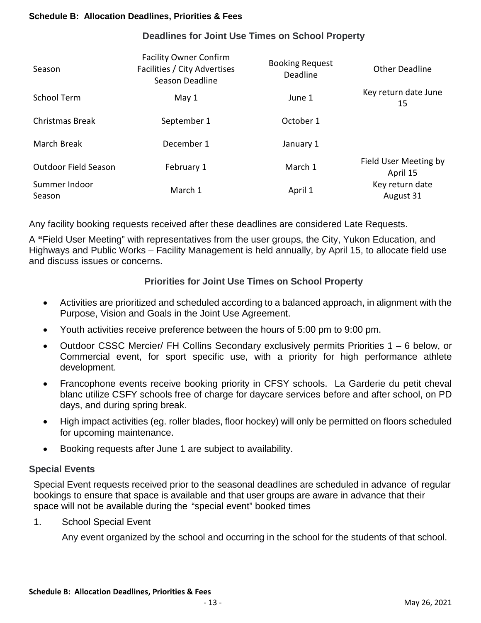| <b>Facility Owner Confirm</b><br>Facilities / City Advertises<br>Season Deadline | <b>Booking Request</b><br>Deadline | <b>Other Deadline</b>             |
|----------------------------------------------------------------------------------|------------------------------------|-----------------------------------|
| May 1                                                                            | June 1                             | Key return date June<br>15        |
| September 1                                                                      | October 1                          |                                   |
| December 1                                                                       | January 1                          |                                   |
| February 1                                                                       | March 1                            | Field User Meeting by<br>April 15 |
| March 1                                                                          | April 1                            | Key return date<br>August 31      |
|                                                                                  |                                    |                                   |

# **Deadlines for Joint Use Times on School Property**

Any facility booking requests received after these deadlines are considered Late Requests.

A **"**Field User Meeting" with representatives from the user groups, the City, Yukon Education, and Highways and Public Works – Facility Management is held annually, by April 15, to allocate field use and discuss issues or concerns.

# **Priorities for Joint Use Times on School Property**

- Activities are prioritized and scheduled according to a balanced approach, in alignment with the Purpose, Vision and Goals in the Joint Use Agreement.
- Youth activities receive preference between the hours of 5:00 pm to 9:00 pm.
- Outdoor CSSC Mercier/ FH Collins Secondary exclusively permits Priorities 1 6 below, or Commercial event, for sport specific use, with a priority for high performance athlete development.
- Francophone events receive booking priority in CFSY schools. La Garderie du petit cheval blanc utilize CSFY schools free of charge for daycare services before and after school, on PD days, and during spring break.
- High impact activities (eg. roller blades, floor hockey) will only be permitted on floors scheduled for upcoming maintenance.
- Booking requests after June 1 are subject to availability.

# **Special Events**

Special Event requests received prior to the seasonal deadlines are scheduled in advance of regular bookings to ensure that space is available and that user groups are aware in advance that their space will not be available during the "special event" booked times

1. School Special Event

Any event organized by the school and occurring in the school for the students of that school.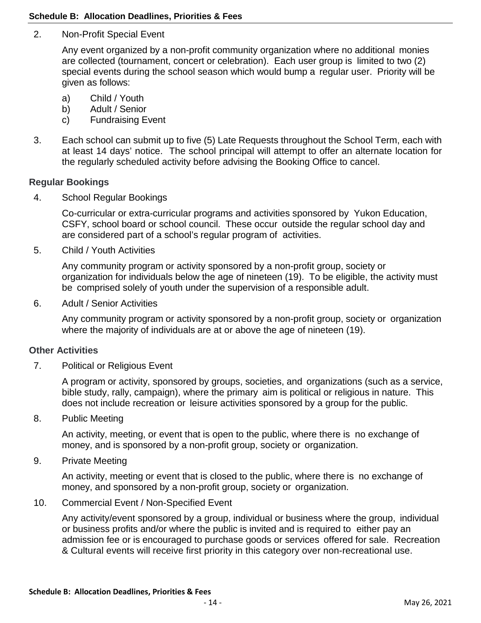#### **Schedule B: Allocation Deadlines, Priorities & Fees**

2. Non-Profit Special Event

Any event organized by a non-profit community organization where no additional monies are collected (tournament, concert or celebration). Each user group is limited to two (2) special events during the school season which would bump a regular user. Priority will be given as follows:

- a) Child / Youth
- b) Adult / Senior
- c) Fundraising Event
- 3. Each school can submit up to five (5) Late Requests throughout the School Term, each with at least 14 days' notice. The school principal will attempt to offer an alternate location for the regularly scheduled activity before advising the Booking Office to cancel.

#### **Regular Bookings**

4. School Regular Bookings

Co-curricular or extra-curricular programs and activities sponsored by Yukon Education, CSFY, school board or school council. These occur outside the regular school day and are considered part of a school's regular program of activities.

5. Child / Youth Activities

Any community program or activity sponsored by a non-profit group, society or organization for individuals below the age of nineteen (19). To be eligible, the activity must be comprised solely of youth under the supervision of a responsible adult.

6. Adult / Senior Activities

Any community program or activity sponsored by a non-profit group, society or organization where the majority of individuals are at or above the age of nineteen (19).

#### **Other Activities**

7. Political or Religious Event

A program or activity, sponsored by groups, societies, and organizations (such as a service, bible study, rally, campaign), where the primary aim is political or religious in nature. This does not include recreation or leisure activities sponsored by a group for the public.

8. Public Meeting

An activity, meeting, or event that is open to the public, where there is no exchange of money, and is sponsored by a non-profit group, society or organization.

9. Private Meeting

An activity, meeting or event that is closed to the public, where there is no exchange of money, and sponsored by a non-profit group, society or organization.

10. Commercial Event / Non-Specified Event

Any activity/event sponsored by a group, individual or business where the group, individual or business profits and/or where the public is invited and is required to either pay an admission fee or is encouraged to purchase goods or services offered for sale. Recreation & Cultural events will receive first priority in this category over non-recreational use.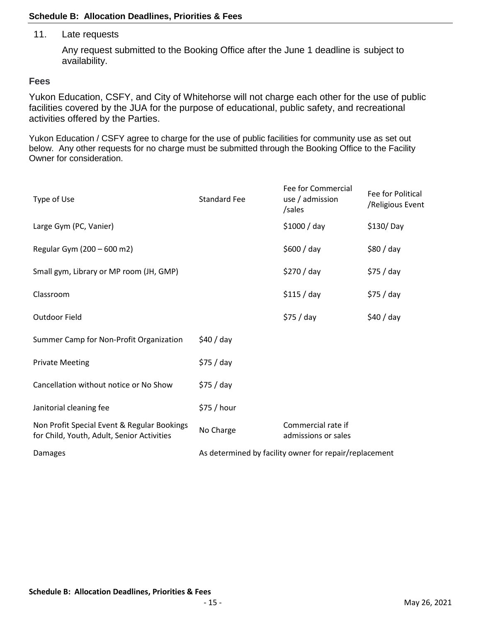#### **Schedule B: Allocation Deadlines, Priorities & Fees**

#### 11. Late requests

Any request submitted to the Booking Office after the June 1 deadline is subject to availability.

#### **Fees**

Yukon Education, CSFY, and City of Whitehorse will not charge each other for the use of public facilities covered by the JUA for the purpose of educational, public safety, and recreational activities offered by the Parties.

Yukon Education / CSFY agree to charge for the use of public facilities for community use as set out below. Any other requests for no charge must be submitted through the Booking Office to the Facility Owner for consideration.

| Type of Use                                                                               | <b>Standard Fee</b> | Fee for Commercial<br>use / admission<br>/sales        | Fee for Political<br>/Religious Event |
|-------------------------------------------------------------------------------------------|---------------------|--------------------------------------------------------|---------------------------------------|
| Large Gym (PC, Vanier)                                                                    |                     | \$1000 / day                                           | $$130/$ Day                           |
| Regular Gym (200 - 600 m2)                                                                |                     | \$600 / day                                            | \$80 / day                            |
| Small gym, Library or MP room (JH, GMP)                                                   |                     | \$270 / day                                            | \$75 / day                            |
| Classroom                                                                                 |                     | \$115/day                                              | \$75 / day                            |
| Outdoor Field                                                                             |                     | \$75 / day                                             | \$40 / day                            |
| Summer Camp for Non-Profit Organization                                                   | \$40/day            |                                                        |                                       |
| <b>Private Meeting</b>                                                                    | \$75 / day          |                                                        |                                       |
| Cancellation without notice or No Show                                                    | \$75 / day          |                                                        |                                       |
| Janitorial cleaning fee                                                                   | \$75 / hour         |                                                        |                                       |
| Non Profit Special Event & Regular Bookings<br>for Child, Youth, Adult, Senior Activities | No Charge           | Commercial rate if<br>admissions or sales              |                                       |
| Damages                                                                                   |                     | As determined by facility owner for repair/replacement |                                       |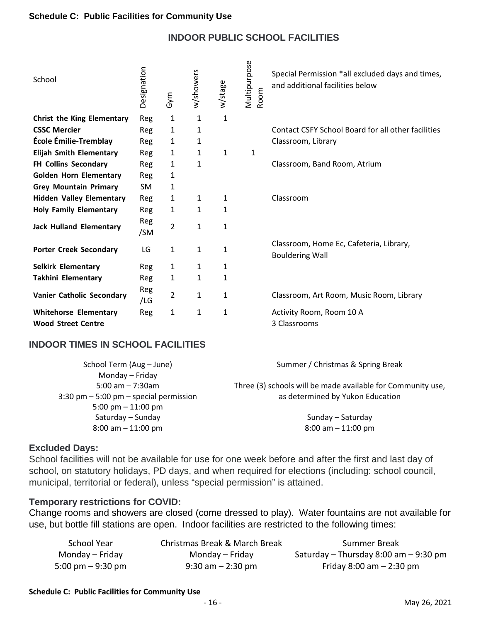# **INDOOR PUBLIC SCHOOL FACILITIES**

| School                            | Designation | Gym          | w/showers    | w/stage      | Multipurpose<br>Room | Special Permission *all excluded days and times,<br>and additional facilities below |
|-----------------------------------|-------------|--------------|--------------|--------------|----------------------|-------------------------------------------------------------------------------------|
| <b>Christ the King Elementary</b> | Reg         | 1            | $\mathbf{1}$ | $\mathbf{1}$ |                      |                                                                                     |
| <b>CSSC Mercier</b>               | Reg         | $\mathbf{1}$ | 1            |              |                      | Contact CSFY School Board for all other facilities                                  |
| École Émilie-Tremblay             | Reg         | 1            | 1            |              |                      | Classroom, Library                                                                  |
| <b>Elijah Smith Elementary</b>    | Reg         | 1            | 1            | 1            | $\mathbf{1}$         |                                                                                     |
| FH Collins Secondary              | Reg         | 1            | 1            |              |                      | Classroom, Band Room, Atrium                                                        |
| <b>Golden Horn Elementary</b>     | Reg         | $\mathbf{1}$ |              |              |                      |                                                                                     |
| <b>Grey Mountain Primary</b>      | SM.         | 1            |              |              |                      |                                                                                     |
| <b>Hidden Valley Elementary</b>   | Reg         | 1            | 1            | 1            |                      | Classroom                                                                           |
| <b>Holy Family Elementary</b>     | Reg         | 1            | 1            | $\mathbf{1}$ |                      |                                                                                     |
| <b>Jack Hulland Elementary</b>    | Reg<br>/SM  | 2            | $\mathbf{1}$ | $\mathbf{1}$ |                      |                                                                                     |
| <b>Porter Creek Secondary</b>     | LG          | 1            | 1            | $\mathbf{1}$ |                      | Classroom, Home Ec, Cafeteria, Library,<br><b>Bouldering Wall</b>                   |
| <b>Selkirk Elementary</b>         | Reg         | 1            | 1            | 1            |                      |                                                                                     |
| Takhini Elementary                | Reg         | 1            | 1            | $\mathbf{1}$ |                      |                                                                                     |
| Vanier Catholic Secondary         | Reg<br>/LG  | 2            | 1            | 1            |                      | Classroom, Art Room, Music Room, Library                                            |
| <b>Whitehorse Elementary</b>      | Reg         | 1            | 1            | 1            |                      | Activity Room, Room 10 A                                                            |
| <b>Wood Street Centre</b>         |             |              |              |              |                      | 3 Classrooms                                                                        |

# **INDOOR TIMES IN SCHOOL FACILITIES**

| School Term (Aug - June)                    | Summer / Christmas & Spring Break                           |
|---------------------------------------------|-------------------------------------------------------------|
| Monday - Friday                             |                                                             |
| 5:00 am $- 7:30$ am                         | Three (3) schools will be made available for Community use, |
| $3:30$ pm $-5:00$ pm $-$ special permission | as determined by Yukon Education                            |
| 5:00 pm $-$ 11:00 pm                        |                                                             |
| Saturday - Sunday                           | Sunday - Saturday                                           |
| $8:00$ am $-11:00$ pm                       | $8:00$ am $-11:00$ pm                                       |
|                                             |                                                             |

# **Excluded Days:**

School facilities will not be available for use for one week before and after the first and last day of school, on statutory holidays, PD days, and when required for elections (including: school council, municipal, territorial or federal), unless "special permission" is attained.

#### **Temporary restrictions for COVID:**

Change rooms and showers are closed (come dressed to play). Water fountains are not available for use, but bottle fill stations are open. Indoor facilities are restricted to the following times:

| School Year         | Christmas Break & March Break | Summer Break                          |
|---------------------|-------------------------------|---------------------------------------|
| Monday – Friday     | Monday – Friday               | Saturday – Thursday 8:00 am – 9:30 pm |
| 5:00 pm $-$ 9:30 pm | $9:30$ am $-2:30$ pm          | Friday $8:00$ am $-2:30$ pm           |

#### **Schedule C: Public Facilities for Community Use**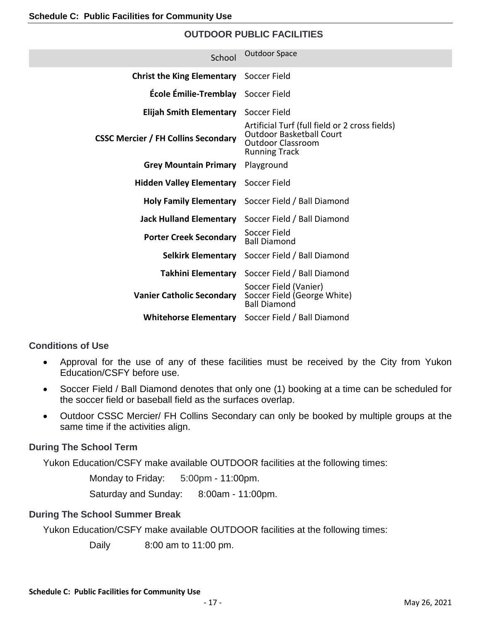# **OUTDOOR PUBLIC FACILITIES**

| School                                     | <b>Outdoor Space</b>                                                                                                                  |
|--------------------------------------------|---------------------------------------------------------------------------------------------------------------------------------------|
| <b>Christ the King Elementary</b>          | Soccer Field                                                                                                                          |
| École Émilie-Tremblay                      | Soccer Field                                                                                                                          |
| <b>Elijah Smith Elementary</b>             | Soccer Field                                                                                                                          |
| <b>CSSC Mercier / FH Collins Secondary</b> | Artificial Turf (full field or 2 cross fields)<br><b>Outdoor Basketball Court</b><br><b>Outdoor Classroom</b><br><b>Running Track</b> |
| <b>Grey Mountain Primary</b>               | Playground                                                                                                                            |
| <b>Hidden Valley Elementary</b>            | Soccer Field                                                                                                                          |
|                                            | Holy Family Elementary Soccer Field / Ball Diamond                                                                                    |
| <b>Jack Hulland Elementary</b>             | Soccer Field / Ball Diamond                                                                                                           |
| <b>Porter Creek Secondary</b>              | Soccer Field<br><b>Ball Diamond</b>                                                                                                   |
| <b>Selkirk Elementary</b>                  | Soccer Field / Ball Diamond                                                                                                           |
|                                            | Takhini Elementary Soccer Field / Ball Diamond                                                                                        |
| <b>Vanier Catholic Secondary</b>           | Soccer Field (Vanier)<br>Soccer Field (George White)<br><b>Ball Diamond</b>                                                           |
| <b>Whitehorse Elementary</b>               | Soccer Field / Ball Diamond                                                                                                           |

# **Conditions of Use**

- Approval for the use of any of these facilities must be received by the City from Yukon Education/CSFY before use.
- Soccer Field / Ball Diamond denotes that only one (1) booking at a time can be scheduled for the soccer field or baseball field as the surfaces overlap.
- Outdoor CSSC Mercier/ FH Collins Secondary can only be booked by multiple groups at the same time if the activities align.

# **During The School Term**

Yukon Education/CSFY make available OUTDOOR facilities at the following times:

Monday to Friday: 5:00pm - 11:00pm.

Saturday and Sunday: 8:00am - 11:00pm.

# **During The School Summer Break**

Yukon Education/CSFY make available OUTDOOR facilities at the following times:

Daily 8:00 am to 11:00 pm.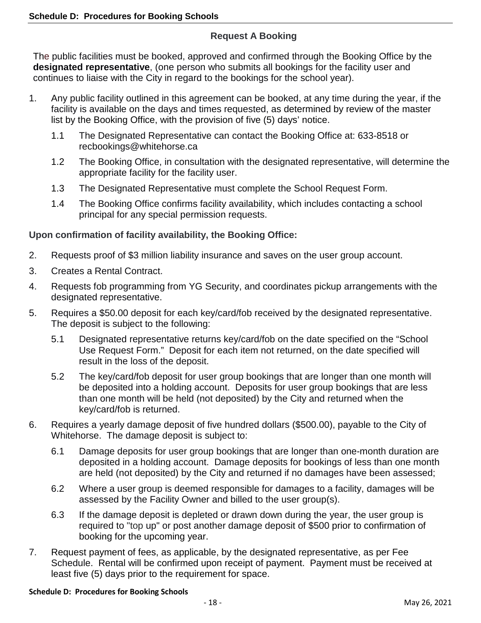# **Request A Booking**

The public facilities must be booked, approved and confirmed through the Booking Office by the **designated representative**, (one person who submits all bookings for the facility user and continues to liaise with the City in regard to the bookings for the school year).

- 1. Any public facility outlined in this agreement can be booked, at any time during the year, if the facility is available on the days and times requested, as determined by review of the master list by the Booking Office, with the provision of five (5) days' notice.
	- 1.1 The Designated Representative can contact the Booking Office at: 633-8518 or recbookings@whitehorse.ca
	- 1.2 The Booking Office, in consultation with the designated representative, will determine the appropriate facility for the facility user.
	- 1.3 The Designated Representative must complete the School Request Form.
	- 1.4 The Booking Office confirms facility availability, which includes contacting a school principal for any special permission requests.

# **Upon confirmation of facility availability, the Booking Office:**

- 2. Requests proof of \$3 million liability insurance and saves on the user group account.
- 3. Creates a Rental Contract.
- 4. Requests fob programming from YG Security, and coordinates pickup arrangements with the designated representative.
- 5. Requires a \$50.00 deposit for each key/card/fob received by the designated representative. The deposit is subject to the following:
	- 5.1 Designated representative returns key/card/fob on the date specified on the "School Use Request Form." Deposit for each item not returned, on the date specified will result in the loss of the deposit.
	- 5.2 The key/card/fob deposit for user group bookings that are longer than one month will be deposited into a holding account. Deposits for user group bookings that are less than one month will be held (not deposited) by the City and returned when the key/card/fob is returned.
- 6. Requires a yearly damage deposit of five hundred dollars (\$500.00), payable to the City of Whitehorse. The damage deposit is subject to:
	- 6.1 Damage deposits for user group bookings that are longer than one-month duration are deposited in a holding account. Damage deposits for bookings of less than one month are held (not deposited) by the City and returned if no damages have been assessed;
	- 6.2 Where a user group is deemed responsible for damages to a facility, damages will be assessed by the Facility Owner and billed to the user group(s).
	- 6.3 If the damage deposit is depleted or drawn down during the year, the user group is required to "top up" or post another damage deposit of \$500 prior to confirmation of booking for the upcoming year.
- 7. Request payment of fees, as applicable, by the designated representative, as per Fee Schedule. Rental will be confirmed upon receipt of payment. Payment must be received at least five (5) days prior to the requirement for space.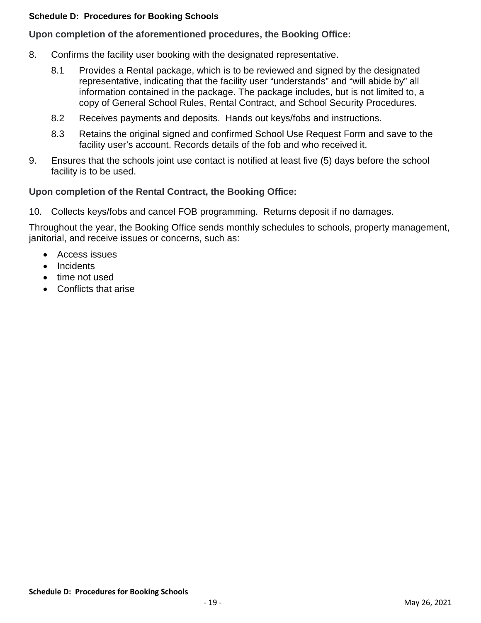# **Upon completion of the aforementioned procedures, the Booking Office:**

- 8. Confirms the facility user booking with the designated representative.
	- 8.1 Provides a Rental package, which is to be reviewed and signed by the designated representative, indicating that the facility user "understands" and "will abide by" all information contained in the package. The package includes, but is not limited to, a copy of General School Rules, Rental Contract, and School Security Procedures.
	- 8.2 Receives payments and deposits. Hands out keys/fobs and instructions.
	- 8.3 Retains the original signed and confirmed School Use Request Form and save to the facility user's account. Records details of the fob and who received it.
- 9. Ensures that the schools joint use contact is notified at least five (5) days before the school facility is to be used.

# **Upon completion of the Rental Contract, the Booking Office:**

10. Collects keys/fobs and cancel FOB programming. Returns deposit if no damages.

Throughout the year, the Booking Office sends monthly schedules to schools, property management, janitorial, and receive issues or concerns, such as:

- Access issues
- Incidents
- time not used
- Conflicts that arise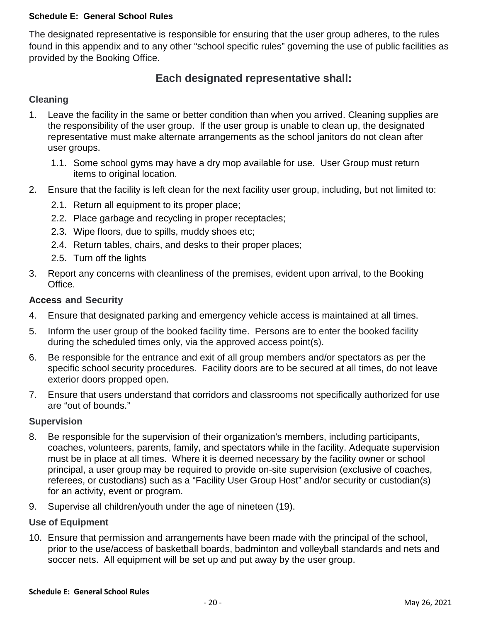The designated representative is responsible for ensuring that the user group adheres, to the rules found in this appendix and to any other "school specific rules" governing the use of public facilities as provided by the Booking Office.

# **Each designated representative shall:**

# **Cleaning**

- 1. Leave the facility in the same or better condition than when you arrived. Cleaning supplies are the responsibility of the user group. If the user group is unable to clean up, the designated representative must make alternate arrangements as the school janitors do not clean after user groups.
	- 1.1. Some school gyms may have a dry mop available for use. User Group must return items to original location.
- 2. Ensure that the facility is left clean for the next facility user group, including, but not limited to:
	- 2.1. Return all equipment to its proper place;
	- 2.2. Place garbage and recycling in proper receptacles;
	- 2.3. Wipe floors, due to spills, muddy shoes etc;
	- 2.4. Return tables, chairs, and desks to their proper places;
	- 2.5. Turn off the lights
- 3. Report any concerns with cleanliness of the premises, evident upon arrival, to the Booking Office.

# **Access and Security**

- 4. Ensure that designated parking and emergency vehicle access is maintained at all times.
- 5. Inform the user group of the booked facility time. Persons are to enter the booked facility during the scheduled times only, via the approved access point(s).
- 6. Be responsible for the entrance and exit of all group members and/or spectators as per the specific school security procedures. Facility doors are to be secured at all times, do not leave exterior doors propped open.
- 7. Ensure that users understand that corridors and classrooms not specifically authorized for use are "out of bounds."

# **Supervision**

- 8. Be responsible for the supervision of their organization's members, including participants, coaches, volunteers, parents, family, and spectators while in the facility. Adequate supervision must be in place at all times. Where it is deemed necessary by the facility owner or school principal, a user group may be required to provide on-site supervision (exclusive of coaches, referees, or custodians) such as a "Facility User Group Host" and/or security or custodian(s) for an activity, event or program.
- 9. Supervise all children/youth under the age of nineteen (19).

# **Use of Equipment**

10. Ensure that permission and arrangements have been made with the principal of the school, prior to the use/access of basketball boards, badminton and volleyball standards and nets and soccer nets. All equipment will be set up and put away by the user group.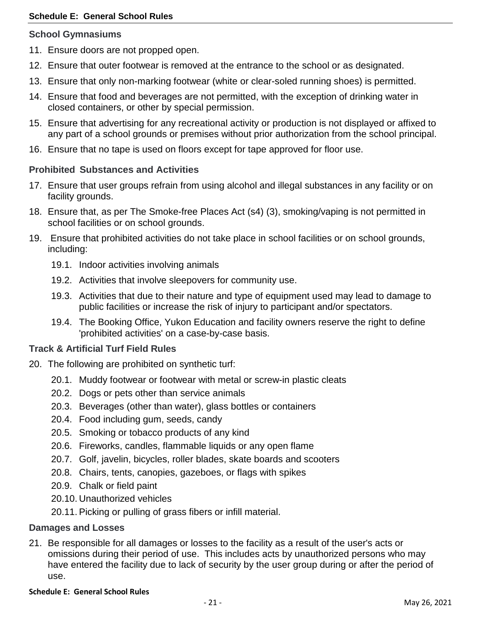# **School Gymnasiums**

- 11. Ensure doors are not propped open.
- 12. Ensure that outer footwear is removed at the entrance to the school or as designated.
- 13. Ensure that only non-marking footwear (white or clear-soled running shoes) is permitted.
- 14. Ensure that food and beverages are not permitted, with the exception of drinking water in closed containers, or other by special permission.
- 15. Ensure that advertising for any recreational activity or production is not displayed or affixed to any part of a school grounds or premises without prior authorization from the school principal.
- 16. Ensure that no tape is used on floors except for tape approved for floor use.

# **Prohibited Substances and Activities**

- 17. Ensure that user groups refrain from using alcohol and illegal substances in any facility or on facility grounds.
- 18. Ensure that, as per The Smoke-free Places Act (s4) (3), smoking/vaping is not permitted in school facilities or on school grounds.
- 19. Ensure that prohibited activities do not take place in school facilities or on school grounds, including:
	- 19.1. Indoor activities involving animals
	- 19.2. Activities that involve sleepovers for community use.
	- 19.3. Activities that due to their nature and type of equipment used may lead to damage to public facilities or increase the risk of injury to participant and/or spectators.
	- 19.4. The Booking Office, Yukon Education and facility owners reserve the right to define 'prohibited activities' on a case-by-case basis.

# **Track & Artificial Turf Field Rules**

- 20. The following are prohibited on synthetic turf:
	- 20.1. Muddy footwear or footwear with metal or screw-in plastic cleats
	- 20.2. Dogs or pets other than service animals
	- 20.3. Beverages (other than water), glass bottles or containers
	- 20.4. Food including gum, seeds, candy
	- 20.5. Smoking or tobacco products of any kind
	- 20.6. Fireworks, candles, flammable liquids or any open flame
	- 20.7. Golf, javelin, bicycles, roller blades, skate boards and scooters
	- 20.8. Chairs, tents, canopies, gazeboes, or flags with spikes
	- 20.9. Chalk or field paint
	- 20.10. Unauthorized vehicles
	- 20.11. Picking or pulling of grass fibers or infill material.

# **Damages and Losses**

21. Be responsible for all damages or losses to the facility as a result of the user's acts or omissions during their period of use. This includes acts by unauthorized persons who may have entered the facility due to lack of security by the user group during or after the period of use.

#### **Schedule E: General School Rules**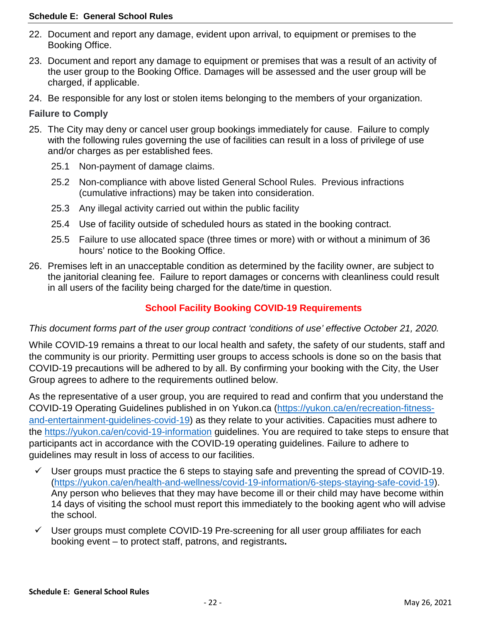#### **Schedule E: General School Rules**

- 22. Document and report any damage, evident upon arrival, to equipment or premises to the Booking Office.
- 23. Document and report any damage to equipment or premises that was a result of an activity of the user group to the Booking Office. Damages will be assessed and the user group will be charged, if applicable.
- 24. Be responsible for any lost or stolen items belonging to the members of your organization.

## **Failure to Comply**

- 25. The City may deny or cancel user group bookings immediately for cause. Failure to comply with the following rules governing the use of facilities can result in a loss of privilege of use and/or charges as per established fees.
	- 25.1 Non-payment of damage claims.
	- 25.2 Non-compliance with above listed General School Rules. Previous infractions (cumulative infractions) may be taken into consideration.
	- 25.3 Any illegal activity carried out within the public facility
	- 25.4 Use of facility outside of scheduled hours as stated in the booking contract.
	- 25.5 Failure to use allocated space (three times or more) with or without a minimum of 36 hours' notice to the Booking Office.
- 26. Premises left in an unacceptable condition as determined by the facility owner, are subject to the janitorial cleaning fee. Failure to report damages or concerns with cleanliness could result in all users of the facility being charged for the date/time in question.

# **School Facility Booking COVID-19 Requirements**

# *This document forms part of the user group contract 'conditions of use' effective October 21, 2020.*

While COVID-19 remains a threat to our local health and safety, the safety of our students, staff and the community is our priority. Permitting user groups to access schools is done so on the basis that COVID-19 precautions will be adhered to by all. By confirming your booking with the City, the User Group agrees to adhere to the requirements outlined below.

As the representative of a user group, you are required to read and confirm that you understand the COVID-19 Operating Guidelines published in on Yukon.ca [\(https://yukon.ca/en/recreation-fitness](https://yukon.ca/en/recreation-fitness-and-entertainment-guidelines-covid-19)[and-entertainment-guidelines-covid-19\)](https://yukon.ca/en/recreation-fitness-and-entertainment-guidelines-covid-19) as they relate to your activities. Capacities must adhere to the<https://yukon.ca/en/covid-19-information> guidelines. You are required to take steps to ensure that participants act in accordance with the COVID-19 operating guidelines. Failure to adhere to guidelines may result in loss of access to our facilities.

- User groups must practice the 6 steps to staying safe and preventing the spread of COVID-19. [\(https://yukon.ca/en/health-and-wellness/covid-19-information/6-steps-staying-safe-covid-19\)](https://yukon.ca/en/health-and-wellness/covid-19-information/6-steps-staying-safe-covid-19). Any person who believes that they may have become ill or their child may have become within 14 days of visiting the school must report this immediately to the booking agent who will advise the school.
- $\checkmark$  User groups must complete COVID-19 Pre-screening for all user group affiliates for each booking event – to protect staff, patrons, and registrants**.**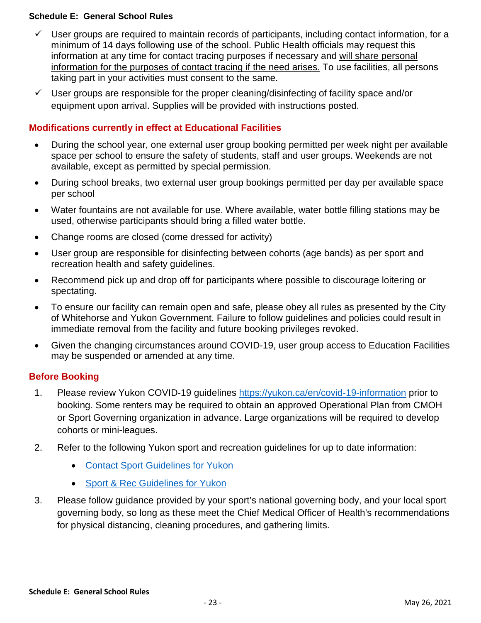#### **Schedule E: General School Rules**

- $\checkmark$  User groups are required to maintain records of participants, including contact information, for a minimum of 14 days following use of the school. Public Health officials may request this information at any time for contact tracing purposes if necessary and will share personal information for the purposes of contact tracing if the need arises. To use facilities, all persons taking part in your activities must consent to the same.
- $\checkmark$  User groups are responsible for the proper cleaning/disinfecting of facility space and/or equipment upon arrival. Supplies will be provided with instructions posted.

# **Modifications currently in effect at Educational Facilities**

- During the school year, one external user group booking permitted per week night per available space per school to ensure the safety of students, staff and user groups. Weekends are not available, except as permitted by special permission.
- During school breaks, two external user group bookings permitted per day per available space per school
- Water fountains are not available for use. Where available, water bottle filling stations may be used, otherwise participants should bring a filled water bottle.
- Change rooms are closed (come dressed for activity)
- User group are responsible for disinfecting between cohorts (age bands) as per sport and recreation health and safety guidelines.
- Recommend pick up and drop off for participants where possible to discourage loitering or spectating.
- To ensure our facility can remain open and safe, please obey all rules as presented by the City of Whitehorse and Yukon Government. Failure to follow guidelines and policies could result in immediate removal from the facility and future booking privileges revoked.
- Given the changing circumstances around COVID-19, user group access to Education Facilities may be suspended or amended at any time.

# **Before Booking**

- 1. Please review Yukon COVID-19 guidelines<https://yukon.ca/en/covid-19-information> prior to booking. Some renters may be required to obtain an approved Operational Plan from CMOH or Sport Governing organization in advance. Large organizations will be required to develop cohorts or mini-leagues.
- 2. Refer to the following Yukon sport and recreation guidelines for up to date information:
	- [Contact Sport Guidelines for Yukon](https://yukon.ca/en/health-and-wellness/covid-19-information/industry-operating-guidelines-covid-19/contact-sports)
	- [Sport & Rec Guidelines for Yukon](https://yukon.ca/en/health-and-wellness/covid-19-information/industry-operating-guidelines-covid-19/sport-and-recreation)
- 3. Please follow guidance provided by your sport's national governing body, and your local sport governing body, so long as these meet the Chief Medical Officer of Health's recommendations for physical distancing, cleaning procedures, and gathering limits.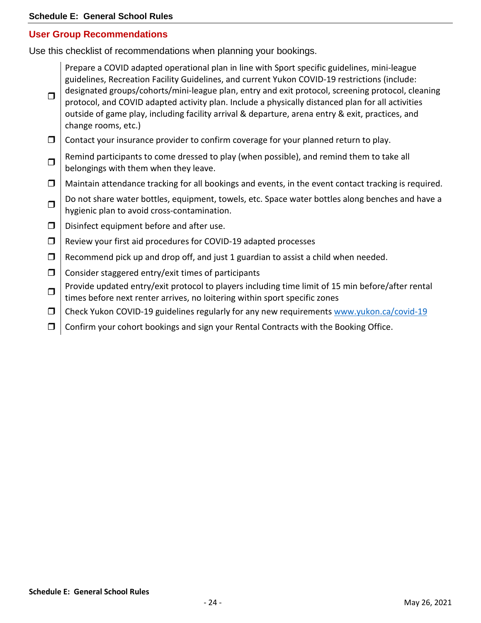# **User Group Recommendations**

Use this checklist of recommendations when planning your bookings.

Prepare a COVID adapted operational plan in line with Sport specific guidelines, mini-league guidelines, Recreation Facility Guidelines, and current Yukon COVID-19 restrictions (include: designated groups/cohorts/mini-league plan, entry and exit protocol, screening protocol, cleaning

- $\Box$ protocol, and COVID adapted activity plan. Include a physically distanced plan for all activities outside of game play, including facility arrival & departure, arena entry & exit, practices, and change rooms, etc.)
- $\Box$  Contact your insurance provider to confirm coverage for your planned return to play.
- $\Box$  Remind participants to come dressed to play (when possible), and remind them to take all belongings with them when they leave.
- $\Box$  Maintain attendance tracking for all bookings and events, in the event contact tracking is required.
- $\Box$  Do not share water bottles, equipment, towels, etc. Space water bottles along benches and have a hygienic plan to avoid cross-contamination.
- $\Box$  Disinfect equipment before and after use.
- $\Box$  Review your first aid procedures for COVID-19 adapted processes
- $\Box$  Recommend pick up and drop off, and just 1 guardian to assist a child when needed.
- $\Box$  Consider staggered entry/exit times of participants
- $\Box$  Provide updated entry/exit protocol to players including time limit of 15 min before/after rental times before next renter arrives, no loitering within sport specific zones
- $\Box$  Check Yukon COVID-19 guidelines regularly for any new requirements [www.yukon.ca/covid-19](http://www.yukon.ca/covid-19)
- $\Box$  Confirm your cohort bookings and sign your Rental Contracts with the Booking Office.